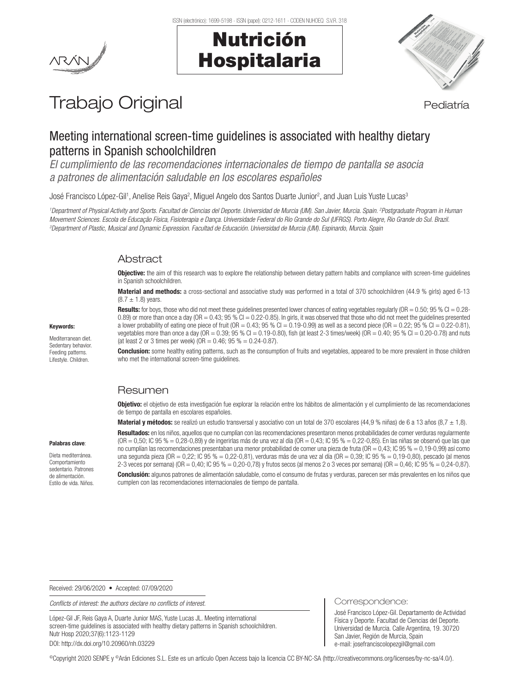



# Trabajo Original en el estatubación de la pediatría

# Meeting international screen-time guidelines is associated with healthy dietary patterns in Spanish schoolchildren

*El cumplimiento de las recomendaciones internacionales de tiempo de pantalla se asocia a patrones de alimentación saludable en los escolares españoles*

José Francisco López-Gil<sup>1</sup>, Anelise Reis Gaya<sup>2</sup>, Miguel Angelo dos Santos Duarte Junior<sup>2</sup>, and Juan Luis Yuste Lucas<sup>s</sup>

*1 Department of Physical Activity and Sports. Facultad de Ciencias del Deporte. Universidad de Murcia (UM). San Javier, Murcia. Spain. 2 Postgraduate Program in Human Movement Sciences. Escola de Educação Física, Fisioterapia e Dança. Universidade Federal do Rio Grande do Sul (UFRGS). Porto Alegre, Rio Grande do Sul. Brazil. 3 Department of Plastic, Musical and Dynamic Expression. Facultad de Educación. Universidad de Murcia (UM). Espinardo, Murcia. Spain*

# Abstract

**Objective:** the aim of this research was to explore the relationship between dietary pattern habits and compliance with screen-time guidelines in Spanish schoolchildren.

Material and methods: a cross-sectional and associative study was performed in a total of 370 schoolchildren (44.9 % girls) aged 6-13  $(8.7 \pm 1.8)$  years.

**Results:** for boys, those who did not meet these guidelines presented lower chances of eating vegetables regularly ( $OR = 0.50$ ;  $95\% CI = 0.28$ -0.89) or more than once a day (OR = 0.43; 95 % CI = 0.22-0.85). In girls, it was observed that those who did not meet the guidelines presented a lower probability of eating one piece of fruit (OR =  $0.43$ ; 95 % Cl =  $0.19$ - $0.99$ ) as well as a second piece (OR =  $0.22$ ; 95 % Cl =  $0.22$ - $0.81$ ), vegetables more than once a day (OR =  $0.39$ ; 95 % CI =  $0.19$ -0.80), fish (at least 2-3 times/week) (OR =  $0.40$ ; 95 % CI =  $0.20$ -0.78) and nuts (at least 2 or 3 times per week) (OR =  $0.46$ ; 95 % =  $0.24 - 0.87$ ).

**Conclusion:** some healthy eating patterns, such as the consumption of fruits and vegetables, appeared to be more prevalent in those children who met the international screen-time guidelines.

# Resumen

Objetivo: el objetivo de esta investigación fue explorar la relación entre los hábitos de alimentación y el cumplimiento de las recomendaciones de tiempo de pantalla en escolares españoles.

Material y métodos: se realizó un estudio transversal y asociativo con un total de 370 escolares (44,9 % niñas) de 6 a 13 años (8,7  $\pm$  1,8).

#### Palabras clave:

Keywords: Mediterranean diet. Sedentary behavior. Feeding patterns. Lifestyle. Children.

Dieta mediterránea. Comportamiento sedentario. Patrones de alimentación. Estilo de vida. Niños.

Resultados: en los niños, aquellos que no cumplían con las recomendaciones presentaron menos probabilidades de comer verduras reqularmente  $(OR = 0.50; IC 95 % = 0.28-0.89)$  y de ingerirlas más de una vez al día  $(OR = 0.43; IC 95 % = 0.22-0.85)$ . En las niñas se observó que las que no cumplían las recomendaciones presentaban una menor probabilidad de comer una pieza de fruta (OR = 0,43; IC 95 % = 0,19-0,99) así como una segunda pieza (OR = 0,22; IC 95 % = 0,22-0,81), verduras más de una vez al día (OR = 0,39; IC 95 % = 0,19-0,80), pescado (al menos 2-3 veces por semana) (OR = 0,40; IC 95 % = 0,20-0,78) y frutos secos (al menos 2 o 3 veces por semana) (OR = 0,46; IC 95 % = 0,24-0,87). Conclusión: algunos patrones de alimentación saludable, como el consumo de frutas y verduras, parecen ser más prevalentes en los niños que cumplen con las recomendaciones internacionales de tiempo de pantalla.

Correspondence:

San Javier, Región de Murcia, Spain e-mail: josefranciscolopezgil@gmail.com

José Francisco López-Gil. Departamento de Actividad Física y Deporte. Facultad de Ciencias del Deporte. Universidad de Murcia. Calle Argentina, 19. 30720

Received: 29/06/2020 • Accepted: 07/09/2020

*Conflicts of interest: the authors declare no conflicts of interest.* 

López-Gil JF, Reis Gaya A, Duarte Junior MAS, Yuste Lucas JL. Meeting international screen-time guidelines is associated with healthy dietary patterns in Spanish schoolchildren. Nutr Hosp 2020;37(6):1123-1129

DOI: http://dx.doi.org/10.20960/nh.03229

©Copyright 2020 SENPE y ©Arán Ediciones S.L. Este es un artículo Open Access bajo la licencia CC BY-NC-SA (http://creativecommons.org/licenses/by-nc-sa/4.0/).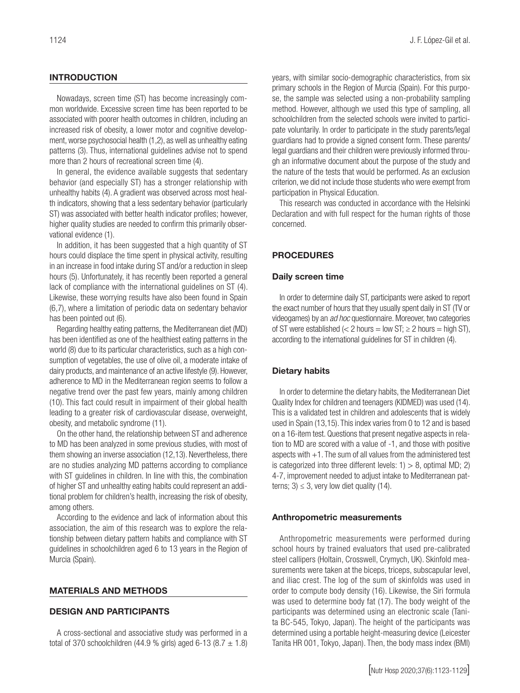## INTRODUCTION

Nowadays, screen time (ST) has become increasingly common worldwide. Excessive screen time has been reported to be associated with poorer health outcomes in children, including an increased risk of obesity, a lower motor and cognitive development, worse psychosocial health (1,2), as well as unhealthy eating patterns (3). Thus, international guidelines advise not to spend more than 2 hours of recreational screen time (4).

In general, the evidence available suggests that sedentary behavior (and especially ST) has a stronger relationship with unhealthy habits (4). A gradient was observed across most health indicators, showing that a less sedentary behavior (particularly ST) was associated with better health indicator profiles; however, higher quality studies are needed to confirm this primarily observational evidence (1).

In addition, it has been suggested that a high quantity of ST hours could displace the time spent in physical activity, resulting in an increase in food intake during ST and/or a reduction in sleep hours (5). Unfortunately, it has recently been reported a general lack of compliance with the international guidelines on ST (4). Likewise, these worrying results have also been found in Spain (6,7), where a limitation of periodic data on sedentary behavior has been pointed out (6).

Regarding healthy eating patterns, the Mediterranean diet (MD) has been identified as one of the healthiest eating patterns in the world (8) due to its particular characteristics, such as a high consumption of vegetables, the use of olive oil, a moderate intake of dairy products, and maintenance of an active lifestyle (9). However, adherence to MD in the Mediterranean region seems to follow a negative trend over the past few years, mainly among children (10). This fact could result in impairment of their global health leading to a greater risk of cardiovascular disease, overweight, obesity, and metabolic syndrome (11).

On the other hand, the relationship between ST and adherence to MD has been analyzed in some previous studies, with most of them showing an inverse association (12,13). Nevertheless, there are no studies analyzing MD patterns according to compliance with ST guidelines in children. In line with this, the combination of higher ST and unhealthy eating habits could represent an additional problem for children's health, increasing the risk of obesity, among others.

According to the evidence and lack of information about this association, the aim of this research was to explore the relationship between dietary pattern habits and compliance with ST guidelines in schoolchildren aged 6 to 13 years in the Region of Murcia (Spain).

#### MATERIALS AND METHODS

#### DESIGN AND PARTICIPANTS

A cross-sectional and associative study was performed in a total of 370 schoolchildren (44.9 % girls) aged 6-13 (8.7  $\pm$  1.8) years, with similar socio-demographic characteristics, from six primary schools in the Region of Murcia (Spain). For this purpose, the sample was selected using a non-probability sampling method. However, although we used this type of sampling, all schoolchildren from the selected schools were invited to participate voluntarily. In order to participate in the study parents/legal guardians had to provide a signed consent form. These parents/ legal guardians and their children were previously informed through an informative document about the purpose of the study and the nature of the tests that would be performed. As an exclusion criterion, we did not include those students who were exempt from participation in Physical Education.

This research was conducted in accordance with the Helsinki Declaration and with full respect for the human rights of those concerned.

# PROCEDURES

#### Daily screen time

In order to determine daily ST, participants were asked to report the exact number of hours that they usually spent daily in ST (TV or videogames) by an *ad hoc* questionnaire. Moreover, two categories of ST were established (< 2 hours = low ST;  $\geq$  2 hours = high ST), according to the international guidelines for ST in children (4).

#### Dietary habits

In order to determine the dietary habits, the Mediterranean Diet Quality Index for children and teenagers (KIDMED) was used (14). This is a validated test in children and adolescents that is widely used in Spain (13,15). This index varies from 0 to 12 and is based on a 16-item test. Questions that present negative aspects in relation to MD are scored with a value of -1, and those with positive aspects with  $+1$ . The sum of all values from the administered test is categorized into three different levels:  $1$  > 8, optimal MD; 2) 4-7, improvement needed to adjust intake to Mediterranean patterns;  $3 \leq 3$ , very low diet quality (14).

#### Anthropometric measurements

Anthropometric measurements were performed during school hours by trained evaluators that used pre-calibrated steel callipers (Holtain, Crosswell, Crymych, UK). Skinfold measurements were taken at the biceps, triceps, subscapular level, and iliac crest. The log of the sum of skinfolds was used in order to compute body density (16). Likewise, the Siri formula was used to determine body fat (17). The body weight of the participants was determined using an electronic scale (Tanita BC-545, Tokyo, Japan). The height of the participants was determined using a portable height-measuring device (Leicester Tanita HR 001, Tokyo, Japan). Then, the body mass index (BMI)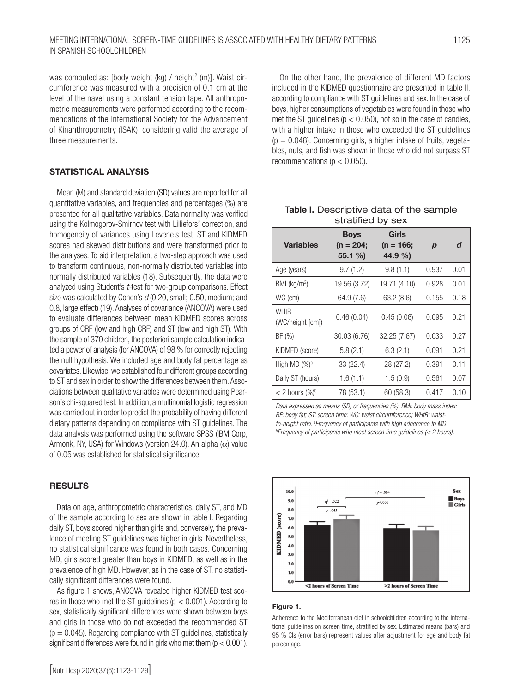was computed as: [body weight (kg) / height<sup>2</sup> (m)]. Waist circumference was measured with a precision of 0.1 cm at the level of the navel using a constant tension tape. All anthropometric measurements were performed according to the recommendations of the International Society for the Advancement of Kinanthropometry (ISAK), considering valid the average of three measurements.

# STATISTICAL ANALYSIS

Mean (M) and standard deviation (SD) values are reported for all quantitative variables, and frequencies and percentages (%) are presented for all qualitative variables. Data normality was verified using the Kolmogorov-Smirnov test with Lilliefors' correction, and homogeneity of variances using Levene's test. ST and KIDMED scores had skewed distributions and were transformed prior to the analyses. To aid interpretation, a two-step approach was used to transform continuous, non-normally distributed variables into normally distributed variables (18). Subsequently, the data were analyzed using Student's *t-*test for two-group comparisons. Effect size was calculated by Cohen's *d* (0.20, small; 0.50, medium; and 0.8, large effect) (19). Analyses of covariance (ANCOVA) were used to evaluate differences between mean KIDMED scores across groups of CRF (low and high CRF) and ST (low and high ST). With the sample of 370 children, the posteriori sample calculation indicated a power of analysis (for ANCOVA) of 98 % for correctly rejecting the null hypothesis. We included age and body fat percentage as covariates. Likewise, we established four different groups according to ST and sex in order to show the differences between them. Associations between qualitative variables were determined using Pearson's chi-squared test. In addition, a multinomial logistic regression was carried out in order to predict the probability of having different dietary patterns depending on compliance with ST guidelines. The data analysis was performed using the software SPSS (IBM Corp, Armonk, NY, USA) for Windows (version 24.0). An alpha  $(\alpha)$  value of 0.05 was established for statistical significance.

### **RESULTS**

Data on age, anthropometric characteristics, daily ST, and MD of the sample according to sex are shown in table I. Regarding daily ST, boys scored higher than girls and, conversely, the prevalence of meeting ST guidelines was higher in girls. Nevertheless, no statistical significance was found in both cases. Concerning MD, girls scored greater than boys in KIDMED, as well as in the prevalence of high MD. However, as in the case of ST, no statistically significant differences were found.

As figure 1 shows, ANCOVA revealed higher KIDMED test scores in those who met the ST guidelines ( $p < 0.001$ ). According to sex, statistically significant differences were shown between boys and girls in those who do not exceeded the recommended ST  $(p = 0.045)$ . Regarding compliance with ST guidelines, statistically significant differences were found in girls who met them  $(p < 0.001)$ .

On the other hand, the prevalence of different MD factors included in the KIDMED questionnaire are presented in table II, according to compliance with ST guidelines and sex. In the case of boys, higher consumptions of vegetables were found in those who met the ST quidelines ( $p < 0.050$ ), not so in the case of candies, with a higher intake in those who exceeded the ST guidelines  $(p = 0.048)$ . Concerning girls, a higher intake of fruits, vegetables, nuts, and fish was shown in those who did not surpass ST recommendations ( $p < 0.050$ ).

| <b>Variables</b>         | <b>Boys</b><br>$(n = 204)$<br>$55.1 \%$ | <b>Girls</b><br>(n = 166;<br>44.9 %) | $\boldsymbol{p}$ | d    |  |
|--------------------------|-----------------------------------------|--------------------------------------|------------------|------|--|
| Age (years)              | 9.7(1.2)                                | 9.8(1.1)                             | 0.937            | 0.01 |  |
| BMI (kg/m <sup>2</sup> ) | 19.56 (3.72)                            | 19.71 (4.10)                         | 0.928            | 0.01 |  |
| WC (cm)                  | 64.9 (7.6)                              | 63.2(8.6)                            | 0.155            | 0.18 |  |
| WHtR<br>(WC/height [cm]) | 0.46(0.04)                              | 0.45(0.06)                           | 0.095            | 0.21 |  |
| BF(%)                    | 30.03 (6.76)                            | 32.25 (7.67)                         | 0.033            | 0.27 |  |
| KIDMED (score)           | 5.8(2.1)                                | 6.3(2.1)                             | 0.091            | 0.21 |  |
| High MD $(\%)^a$         | 33 (22.4)                               | 28 (27.2)                            | 0.391            | 0.11 |  |
| Daily ST (hours)         | 1.6(1.1)                                | 1.5(0.9)                             | 0.561            | 0.07 |  |
| $<$ 2 hours $(\%)^b$     | 78 (53.1)                               | 60(58.3)                             | 0.417            | 0.10 |  |

Table I. Descriptive data of the sample stratified by sex

*Data expressed as means (SD) or frequencies (%). BMI: body mass index; BF: body fat; ST: screen time; WC: waist circumference; WHtR: waistto-height ratio.* <sup>a</sup> Frequency of participants with high adherence to MD.<br><sup>b</sup> Frequency of participants who meet screen time quidelines (< 2 hour *Frequency of participants who meet screen time guidelines (< 2 hours).*



#### Figure 1.

Adherence to the Mediterranean diet in schoolchildren according to the international guidelines on screen time, stratified by sex. Estimated means (bars) and 95 % CIs (error bars) represent values after adjustment for age and body fat percentage.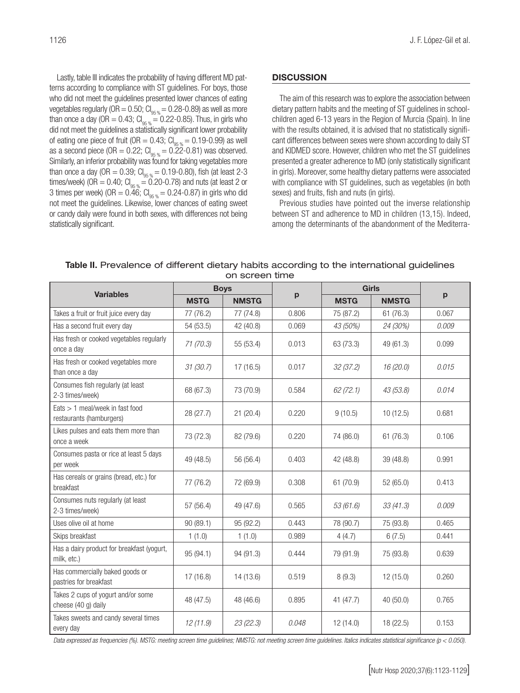Lastly, table III indicates the probability of having different MD patterns according to compliance with ST guidelines. For boys, those who did not meet the guidelines presented lower chances of eating vegetables regularly (OR =  $0.50$ ; Cl<sub>os %</sub> = 0.28-0.89) as well as more than once a day (OR = 0.43;  $CI_{95\%} = 0.22$ -0.85). Thus, in girls who did not meet the guidelines a statistically significant lower probability of eating one piece of fruit (OR = 0.43;  $Cl_{95\%} = 0.19 - 0.99$ ) as well as a second piece (OR = 0.22;  $Cl_{95\%} = 0.22$ -0.81) was observed. Similarly, an inferior probability was found for taking vegetables more than once a day (OR = 0.39;  $Cl_{q_5 q_6} = 0.19$ -0.80), fish (at least 2-3 times/week) (OR = 0.40;  $Cl_{q5, q} = 0.20$ -0.78) and nuts (at least 2 or 3 times per week) (OR =  $0.\overline{46}$ ; Cl<sub>95 %</sub> = 0.24-0.87) in girls who did not meet the guidelines. Likewise, lower chances of eating sweet or candy daily were found in both sexes, with differences not being statistically significant.

## **DISCUSSION**

The aim of this research was to explore the association between dietary pattern habits and the meeting of ST guidelines in schoolchildren aged 6-13 years in the Region of Murcia (Spain). In line with the results obtained, it is advised that no statistically significant differences between sexes were shown according to daily ST and KIDMED score. However, children who met the ST guidelines presented a greater adherence to MD (only statistically significant in girls). Moreover, some healthy dietary patterns were associated with compliance with ST quidelines, such as vegetables (in both sexes) and fruits, fish and nuts (in girls).

Previous studies have pointed out the inverse relationship between ST and adherence to MD in children (13,15). Indeed, among the determinants of the abandonment of the Mediterra-

| on screen time                                                |             |              |       |              |              |              |  |  |  |
|---------------------------------------------------------------|-------------|--------------|-------|--------------|--------------|--------------|--|--|--|
| <b>Variables</b>                                              | <b>Boys</b> |              |       | <b>Girls</b> |              |              |  |  |  |
|                                                               | <b>MSTG</b> | <b>NMSTG</b> | p     | <b>MSTG</b>  | <b>NMSTG</b> | $\mathbf{p}$ |  |  |  |
| Takes a fruit or fruit juice every day                        | 77 (76.2)   | 77 (74.8)    | 0.806 | 75 (87.2)    | 61(76.3)     | 0.067        |  |  |  |
| Has a second fruit every day                                  | 54 (53.5)   | 42 (40.8)    | 0.069 | 43 (50%)     | 24 (30%)     | 0.009        |  |  |  |
| Has fresh or cooked vegetables regularly<br>once a day        | 71 (70.3)   | 55 (53.4)    | 0.013 | 63 (73.3)    | 49 (61.3)    | 0.099        |  |  |  |
| Has fresh or cooked vegetables more<br>than once a day        | 31(30.7)    | 17(16.5)     | 0.017 | 32(37.2)     | 16 (20.0)    | 0.015        |  |  |  |
| Consumes fish regularly (at least<br>2-3 times/week)          | 68 (67.3)   | 73 (70.9)    | 0.584 | 62(72.1)     | 43 (53.8)    | 0.014        |  |  |  |
| $Eats > 1$ meal/week in fast food<br>restaurants (hamburgers) | 28 (27.7)   | 21(20.4)     | 0.220 | 9(10.5)      | 10(12.5)     | 0.681        |  |  |  |
| Likes pulses and eats them more than<br>once a week           | 73 (72.3)   | 82 (79.6)    | 0.220 | 74 (86.0)    | 61(76.3)     | 0.106        |  |  |  |
| Consumes pasta or rice at least 5 days<br>per week            | 49 (48.5)   | 56 (56.4)    | 0.403 | 42 (48.8)    | 39 (48.8)    | 0.991        |  |  |  |
| Has cereals or grains (bread, etc.) for<br>breakfast          | 77 (76.2)   | 72 (69.9)    | 0.308 | 61(70.9)     | 52 (65.0)    | 0.413        |  |  |  |
| Consumes nuts regularly (at least<br>2-3 times/week)          | 57 (56.4)   | 49 (47.6)    | 0.565 | 53 (61.6)    | 33(41.3)     | 0.009        |  |  |  |
| Uses olive oil at home                                        | 90 (89.1)   | 95 (92.2)    | 0.443 | 78 (90.7)    | 75 (93.8)    | 0.465        |  |  |  |
| Skips breakfast                                               | 1(1.0)      | 1(1.0)       | 0.989 | 4(4.7)       | 6(7.5)       | 0.441        |  |  |  |
| Has a dairy product for breakfast (yogurt,<br>milk, etc.)     | 95 (94.1)   | 94 (91.3)    | 0.444 | 79 (91.9)    | 75 (93.8)    | 0.639        |  |  |  |
| Has commercially baked goods or<br>pastries for breakfast     | 17 (16.8)   | 14 (13.6)    | 0.519 | 8(9.3)       | 12 (15.0)    | 0.260        |  |  |  |
| Takes 2 cups of yogurt and/or some<br>cheese (40 g) daily     | 48 (47.5)   | 48 (46.6)    | 0.895 | 41 (47.7)    | 40 (50.0)    | 0.765        |  |  |  |
| Takes sweets and candy several times<br>every day             | 12(11.9)    | 23(22.3)     | 0.048 | 12(14.0)     | 18 (22.5)    | 0.153        |  |  |  |

Table II. Prevalence of different dietary habits according to the international guidelines on screen time

*Data expressed as frequencies (%). MSTG: meeting screen time guidelines; NMSTG: not meeting screen time guidelines. Italics indicates statistical significance (p < 0.050).*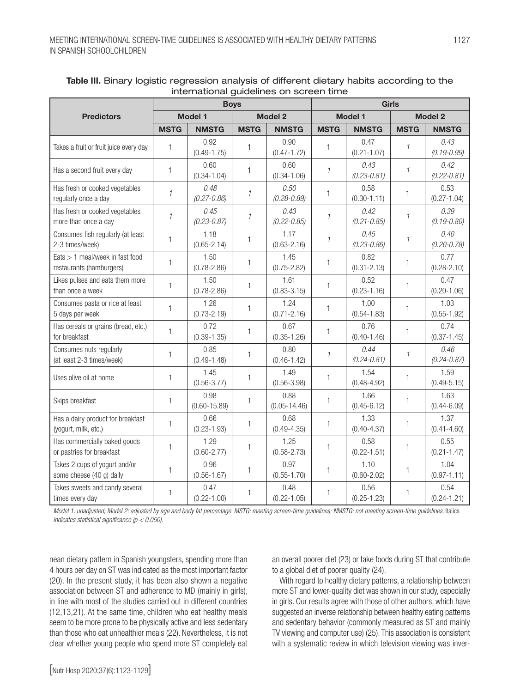|                                                               | <b>Boys</b>    |                          |                | <b>Girls</b>             |               |                         |                |                         |
|---------------------------------------------------------------|----------------|--------------------------|----------------|--------------------------|---------------|-------------------------|----------------|-------------------------|
| <b>Predictors</b>                                             | <b>Model 1</b> |                          | <b>Model 2</b> |                          | Model 1       |                         | <b>Model 2</b> |                         |
|                                                               | <b>MSTG</b>    | <b>NMSTG</b>             | <b>MSTG</b>    | <b>NMSTG</b>             | <b>MSTG</b>   | <b>NMSTG</b>            | <b>MSTG</b>    | <b>NMSTG</b>            |
| Takes a fruit or fruit juice every day                        | $\mathbf{1}$   | 0.92<br>$(0.49 - 1.75)$  | 1              | 0.90<br>$(0.47 - 1.72)$  | 1             | 0.47<br>$(0.21 - 1.07)$ | $\mathcal I$   | 0.43<br>$(0.19 - 0.99)$ |
| Has a second fruit every day                                  | $\mathbf{1}$   | 0.60<br>$(0.34 - 1.04)$  | $\mathbf{1}$   | 0.60<br>$(0.34 - 1.06)$  | $\mathcal{I}$ | 0.43<br>$(0.23 - 0.81)$ | $\mathcal{I}$  | 0.42<br>$(0.22 - 0.81)$ |
| Has fresh or cooked vegetables<br>regularly once a day        | $\mathcal I$   | 0.48<br>$(0.27 - 0.86)$  | $\mathcal{I}$  | 0.50<br>$(0.28 - 0.89)$  | 1             | 0.58<br>$(0.30 - 1.11)$ | 1              | 0.53<br>$(0.27 - 1.04)$ |
| Has fresh or cooked vegetables<br>more than once a day        | $\mathcal I$   | 0.45<br>$(0.23 - 0.87)$  | $\mathcal{I}$  | 0.43<br>$(0.22 - 0.85)$  | $\mathcal{I}$ | 0.42<br>$(0.21 - 0.85)$ | $\mathcal{I}$  | 0.39<br>$(0.19 - 0.80)$ |
| Consumes fish regularly (at least<br>2-3 times/week)          | 1              | 1.18<br>$(0.65 - 2.14)$  | 1              | 1.17<br>$(0.63 - 2.16)$  | $\mathcal I$  | 0.45<br>$(0.23 - 0.86)$ | $\mathcal I$   | 0.40<br>$(0.20 - 0.78)$ |
| $Eats > 1$ meal/week in fast food<br>restaurants (hamburgers) | $\mathbf{1}$   | 1.50<br>$(0.78 - 2.86)$  | $\mathbf{1}$   | 1.45<br>$(0.75 - 2.82)$  | $\mathbf{1}$  | 0.82<br>$(0.31 - 2.13)$ | 1              | 0.77<br>$(0.28 - 2.10)$ |
| Likes pulses and eats them more<br>than once a week           | $\mathbf{1}$   | 1.50<br>$(0.78 - 2.86)$  | $\mathbf{1}$   | 1.61<br>$(0.83 - 3.15)$  | $\mathbf{1}$  | 0.52<br>$(0.23 - 1.16)$ | $\mathbf{1}$   | 0.47<br>$(0.20 - 1.06)$ |
| Consumes pasta or rice at least<br>5 days per week            | $\mathbf{1}$   | 1.26<br>$(0.73 - 2.19)$  | $\mathbf{1}$   | 1.24<br>$(0.71 - 2.16)$  | $\mathbf{1}$  | 1.00<br>$(0.54 - 1.83)$ | $\mathbf{1}$   | 1.03<br>$(0.55 - 1.92)$ |
| Has cereals or grains (bread, etc.)<br>for breakfast          | $\mathbf{1}$   | 0.72<br>$(0.39 - 1.35)$  | $\mathbf{1}$   | 0.67<br>$(0.35 - 1.26)$  | $\mathbf{1}$  | 0.76<br>$(0.40 - 1.46)$ | $\mathbf{1}$   | 0.74<br>$(0.37 - 1.45)$ |
| Consumes nuts regularly<br>(at least 2-3 times/week)          | 1              | 0.85<br>$(0.49 - 1.48)$  | 1              | 0.80<br>$(0.46 - 1.42)$  | $\mathcal I$  | 0.44<br>$(0.24 - 0.81)$ | $\mathcal{I}$  | 0.46<br>$(0.24 - 0.87)$ |
| Uses olive oil at home                                        | 1              | 1.45<br>$(0.56 - 3.77)$  | $\mathbf{1}$   | 1.49<br>$(0.56 - 3.98)$  | 1             | 1.54<br>$(0.48 - 4.92)$ | $\mathbf{1}$   | 1.59<br>$(0.49 - 5.15)$ |
| Skips breakfast                                               | $\mathbf{1}$   | 0.98<br>$(0.60 - 15.89)$ | $\mathbf{1}$   | 0.88<br>$(0.05 - 14.46)$ | 1             | 1.66<br>$(0.45 - 6.12)$ | $\mathbf{1}$   | 1.63<br>$(0.44 - 6.09)$ |
| Has a dairy product for breakfast<br>(yogurt, milk, etc.)     | $\mathbf{1}$   | 0.66<br>$(0.23 - 1.93)$  | $\mathbf{1}$   | 0.68<br>$(0.49 - 4.35)$  | 1             | 1.33<br>$(0.40 - 4.37)$ | $\mathbf{1}$   | 1.37<br>$(0.41 - 4.60)$ |
| Has commercially baked goods<br>or pastries for breakfast     | 1              | 1.29<br>$(0.60 - 2.77)$  | $\mathbf{1}$   | 1.25<br>$(0.58 - 2.73)$  | 1             | 0.58<br>$(0.22 - 1.51)$ | $\mathbf{1}$   | 0.55<br>$(0.21 - 1.47)$ |
| Takes 2 cups of yogurt and/or<br>some cheese (40 g) daily     | 1              | 0.96<br>$(0.56 - 1.67)$  | 1              | 0.97<br>$(0.55 - 1.70)$  | 1             | 1.10<br>$(0.60 - 2.02)$ | 1              | 1.04<br>$(0.97 - 1.11)$ |
| Takes sweets and candy several<br>times every day             | 1              | 0.47<br>$(0.22 - 1.00)$  | 1              | 0.48<br>$(0.22 - 1.05)$  | 1             | 0.56<br>$(0.25 - 1.23)$ | 1              | 0.54<br>$(0.24 - 1.21)$ |

## Table III. Binary logistic regression analysis of different dietary habits according to the international guidelines on screen time

*Model 1: unadjusted; Model 2: adjusted by age and body fat percentage. MSTG: meeting screen-time guidelines; NMSTG: not meeting screen-time guidelines. Italics indicates statistical significance (p < 0.050).*

nean dietary pattern in Spanish youngsters, spending more than 4 hours per day on ST was indicated as the most important factor (20). In the present study, it has been also shown a negative association between ST and adherence to MD (mainly in girls), in line with most of the studies carried out in different countries (12,13,21). At the same time, children who eat healthy meals seem to be more prone to be physically active and less sedentary than those who eat unhealthier meals (22). Nevertheless, it is not clear whether young people who spend more ST completely eat an overall poorer diet (23) or take foods during ST that contribute to a global diet of poorer quality (24).

With regard to healthy dietary patterns, a relationship between more ST and lower-quality diet was shown in our study, especially in girls. Our results agree with those of other authors, which have suggested an inverse relationship between healthy eating patterns and sedentary behavior (commonly measured as ST and mainly TV viewing and computer use) (25). This association is consistent with a systematic review in which television viewing was inver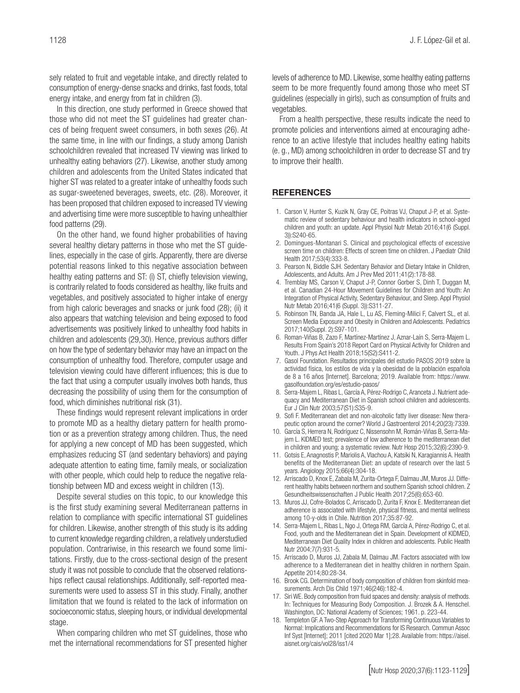sely related to fruit and vegetable intake, and directly related to consumption of energy-dense snacks and drinks, fast foods, total energy intake, and energy from fat in children (3).

In this direction, one study performed in Greece showed that those who did not meet the ST guidelines had greater chances of being frequent sweet consumers, in both sexes (26). At the same time, in line with our findings, a study among Danish schoolchildren revealed that increased TV viewing was linked to unhealthy eating behaviors (27). Likewise, another study among children and adolescents from the United States indicated that higher ST was related to a greater intake of unhealthy foods such as sugar-sweetened beverages, sweets, etc. (28). Moreover, it has been proposed that children exposed to increased TV viewing and advertising time were more susceptible to having unhealthier food patterns (29).

On the other hand, we found higher probabilities of having several healthy dietary patterns in those who met the ST guidelines, especially in the case of girls. Apparently, there are diverse potential reasons linked to this negative association between healthy eating patterns and ST: (i) ST, chiefly television viewing, is contrarily related to foods considered as healthy, like fruits and vegetables, and positively associated to higher intake of energy from high caloric beverages and snacks or junk food (28); (ii) it also appears that watching television and being exposed to food advertisements was positively linked to unhealthy food habits in children and adolescents (29,30). Hence, previous authors differ on how the type of sedentary behavior may have an impact on the consumption of unhealthy food. Therefore, computer usage and television viewing could have different influences; this is due to the fact that using a computer usually involves both hands, thus decreasing the possibility of using them for the consumption of food, which diminishes nutritional risk (31).

These findings would represent relevant implications in order to promote MD as a healthy dietary pattern for health promotion or as a prevention strategy among children. Thus, the need for applying a new concept of MD has been suggested, which emphasizes reducing ST (and sedentary behaviors) and paying adequate attention to eating time, family meals, or socialization with other people, which could help to reduce the negative relationship between MD and excess weight in children (13).

Despite several studies on this topic, to our knowledge this is the first study examining several Mediterranean patterns in relation to compliance with specific international ST guidelines for children. Likewise, another strength of this study is its adding to current knowledge regarding children, a relatively understudied population. Contrariwise, in this research we found some limitations. Firstly, due to the cross-sectional design of the present study it was not possible to conclude that the observed relationships reflect causal relationships. Additionally, self-reported measurements were used to assess ST in this study. Finally, another limitation that we found is related to the lack of information on socioeconomic status, sleeping hours, or individual developmental stage.

When comparing children who met ST guidelines, those who met the international recommendations for ST presented higher levels of adherence to MD. Likewise, some healthy eating patterns seem to be more frequently found among those who meet ST guidelines (especially in girls), such as consumption of fruits and vegetables.

From a health perspective, these results indicate the need to promote policies and interventions aimed at encouraging adherence to an active lifestyle that includes healthy eating habits (e. g., MD) among schoolchildren in order to decrease ST and try to improve their health.

## **REFERENCES**

- 1. Carson V, Hunter S, Kuzik N, Gray CE, Poitras VJ, Chaput J-P, et al. Systematic review of sedentary behaviour and health indicators in school-aged children and youth: an update. Appl Physiol Nutr Metab 2016;41(6 (Suppl. 3)):S240-65.
- 2. Domingues-Montanari S. Clinical and psychological effects of excessive screen time on children: Effects of screen time on children. J Paediatr Child Health 2017;53(4):333-8.
- 3. Pearson N, Biddle SJH. Sedentary Behavior and Dietary Intake in Children, Adolescents, and Adults. Am J Prev Med 2011;41(2):178-88.
- 4. Tremblay MS, Carson V, Chaput J-P, Connor Gorber S, Dinh T, Duggan M, et al. Canadian 24-Hour Movement Guidelines for Children and Youth: An Integration of Physical Activity, Sedentary Behaviour, and Sleep. Appl Physiol Nutr Metab 2016;41(6 (Suppl. 3)):S311-27.
- 5. Robinson TN, Banda JA, Hale L, Lu AS, Fleming-Milici F, Calvert SL, et al. Screen Media Exposure and Obesity in Children and Adolescents. Pediatrics 2017;140(Suppl. 2):S97-101.
- 6. Roman-Viñas B, Zazo F, Martínez-Martínez J, Aznar-Laín S, Serra-Majem L. Results From Spain's 2018 Report Card on Physical Activity for Children and Youth. J Phys Act Health 2018;15(S2):S411-2.
- 7. Gasol Foundation. Resultados principales del estudio PASOS 2019 sobre la actividad física, los estilos de vida y la obesidad de la población española de 8 a 16 años [Internet]. Barcelona; 2019. Available from: https://www. gasolfoundation.org/es/estudio-pasos/
- 8. Serra-Majem L, Ribas L, García A, Pérez-Rodrigo C, Aranceta J. Nutrient adequacy and Mediterranean Diet in Spanish school children and adolescents. Eur J Clin Nutr 2003;57(S1):S35-9.
- 9. Sofi F. Mediterranean diet and non-alcoholic fatty liver disease: New therapeutic option around the corner? World J Gastroenterol 2014;20(23):7339.
- 10. García S, Herrera N, Rodríguez C, Nissensohn M, Román-Viñas B, Serra-Majem L. KIDMED test; prevalence of low adherence to the mediterranean diet in children and young; a systematic review. Nutr Hosp 2015;32(6):2390-9.
- 11. Gotsis E, Anagnostis P, Mariolis A, Vlachou A, Katsiki N, Karagiannis A. Health benefits of the Mediterranean Diet: an update of research over the last 5 years. Angiology 2015;66(4):304-18.
- 12. Arriscado D, Knox E, Zabala M, Zurita-Ortega F, Dalmau JM, Muros JJ. Different healthy habits between northern and southern Spanish school children. Z Gesundheitswissenschaften J Public Health 2017;25(6):653-60.
- 13. Muros JJ, Cofre-Bolados C, Arriscado D, Zurita F, Knox E. Mediterranean diet adherence is associated with lifestyle, physical fitness, and mental wellness among 10-y-olds in Chile. Nutrition 2017;35:87-92.
- 14. Serra-Majem L, Ribas L, Ngo J, Ortega RM, García A, Pérez-Rodrigo C, et al. Food, youth and the Mediterranean diet in Spain. Development of KIDMED, Mediterranean Diet Quality Index in children and adolescents. Public Health Nutr 2004;7(7):931-5.
- 15. Arriscado D, Muros JJ, Zabala M, Dalmau JM. Factors associated with low adherence to a Mediterranean diet in healthy children in northern Spain. Appetite 2014;80:28-34.
- 16. Brook CG. Determination of body composition of children from skinfold measurements. Arch Dis Child 1971;46(246):182-4.
- 17. Siri WE. Body composition from fluid spaces and density: analysis of methods. In: Techniques for Measuring Body Composition. J. Brozek & A. Henschel. Washington, DC: National Academy of Sciences; 1961. p. 223-44.
- 18. Templeton GF. A Two-Step Approach for Transforming Continuous Variables to Normal: Implications and Recommendations for IS Research. Commun Assoc Inf Syst [Internet]; 2011 [cited 2020 Mar 1];28. Available from: https://aisel. aisnet.org/cais/vol28/iss1/4